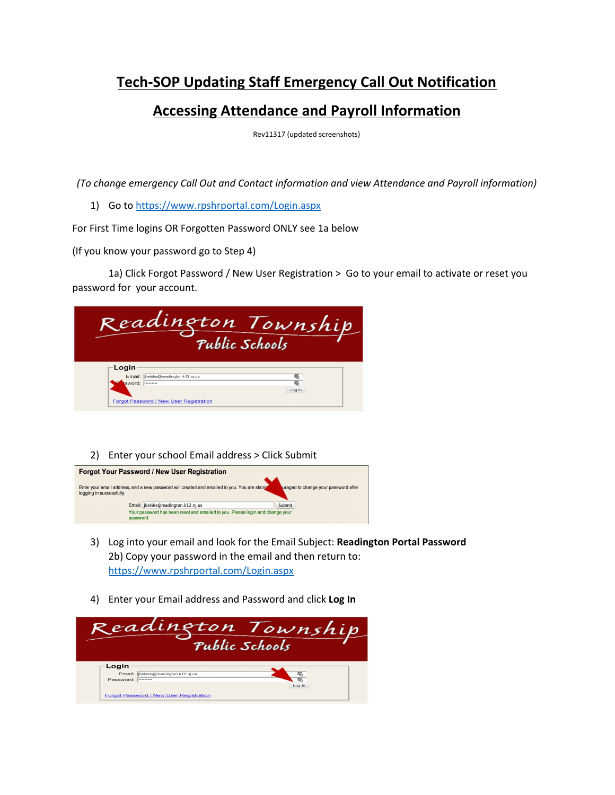## **Tech-SOP Updating Staff Emergency Call Out Notification**

### **Accessing Attendance and Payroll Information**

Rev11317 (updated screenshots)

*(To change emergency Call Out and Contact information and view Attendance and Payroll information)*

1) Go to <https://www.rpshrportal.com/Login.aspx>

For First Time logins OR Forgotten Password ONLY see 1a below

(If you know your password go to Step 4)

1a) Click Forgot Password / New User Registration > Go to your email to activate or reset you password for your account.

| Readington Township<br>Public Schools                                                             |        |
|---------------------------------------------------------------------------------------------------|--------|
| Login<br>Email: ibelske@readington.k12.nj.us<br>sword:<br>Forgot Password / New User Registration | Log In |

#### 2) Enter your school Email address > Click Submit



- 3) Log into your email and look for the Email Subject: **Readington Portal Password** 2b) Copy your password in the email and then return to: <https://www.rpshrportal.com/Login.aspx>
- 4) Enter your Email address and Password and click **Log In**

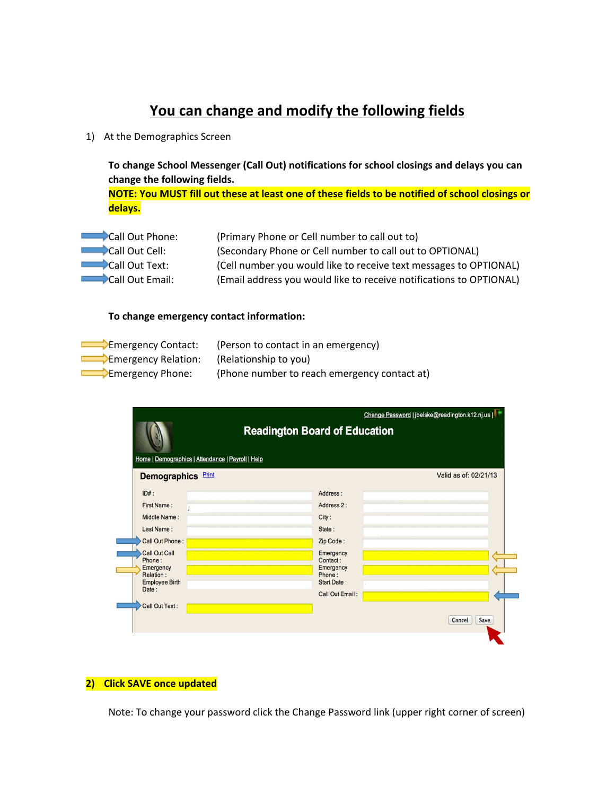## **You can change and modify the following fields**

1) At the Demographics Screen

**To change School Messenger (Call Out) notifications for school closings and delays you can change the following fields.**

NOTE: You MUST fill out these at least one of these fields to be notified of school closings or **delays.**

| Call Out Phone: | (Primary Phone or Cell number to call out to)                       |
|-----------------|---------------------------------------------------------------------|
| Call Out Cell:  | (Secondary Phone or Cell number to call out to OPTIONAL)            |
| Call Out Text:  | (Cell number you would like to receive text messages to OPTIONAL)   |
| Call Out Email: | (Email address you would like to receive notifications to OPTIONAL) |

#### **To change emergency contact information:**

| Emergency Contact:  | (Person to contact in an emergency)          |
|---------------------|----------------------------------------------|
| Emergency Relation: | (Relationship to you)                        |
| Emergency Phone:    | (Phone number to reach emergency contact at) |

|                                                                                           | Change Password   jbelske@readington.k12.nj.us |  |  |
|-------------------------------------------------------------------------------------------|------------------------------------------------|--|--|
| <b>Readington Board of Education</b><br>Home   Demographics   Attendance   Payroll   Help |                                                |  |  |
|                                                                                           | Valid as of: 02/21/13                          |  |  |
| Address:                                                                                  |                                                |  |  |
| Address 2:                                                                                |                                                |  |  |
| City:                                                                                     |                                                |  |  |
| State:                                                                                    |                                                |  |  |
| Zip Code:                                                                                 |                                                |  |  |
| Emergency<br>Contact:<br>Emergency<br>Phone:<br><b>Start Date:</b>                        |                                                |  |  |
| <b>Call Out Email:</b>                                                                    |                                                |  |  |
|                                                                                           | Cancel<br>Save                                 |  |  |
|                                                                                           |                                                |  |  |

#### **2) Click SAVE once updated**

Note: To change your password click the Change Password link (upper right corner of screen)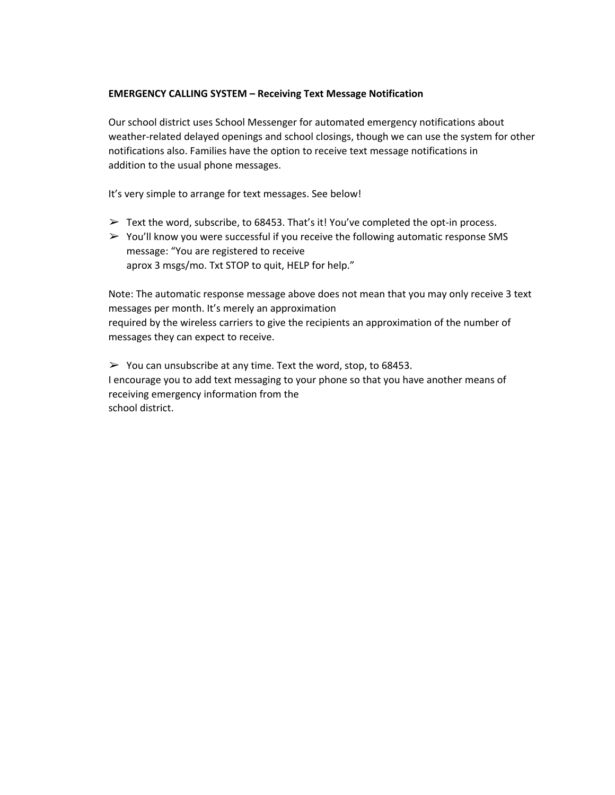#### **EMERGENCY CALLING SYSTEM – Receiving Text Message Notification**

Our school district uses School Messenger for automated emergency notifications about weather-related delayed openings and school closings, though we can use the system for other notifications also. Families have the option to receive text message notifications in addition to the usual phone messages.

It's very simple to arrange for text messages. See below!

- $\triangleright$  Text the word, subscribe, to 68453. That's it! You've completed the opt-in process.
- $\triangleright$  You'll know you were successful if you receive the following automatic response SMS message: "You are registered to receive aprox 3 msgs/mo. Txt STOP to quit, HELP for help."

Note: The automatic response message above does not mean that you may only receive 3 text messages per month. It's merely an approximation required by the wireless carriers to give the recipients an approximation of the number of messages they can expect to receive.

 $\geq$  You can unsubscribe at any time. Text the word, stop, to 68453. I encourage you to add text messaging to your phone so that you have another means of receiving emergency information from the school district.